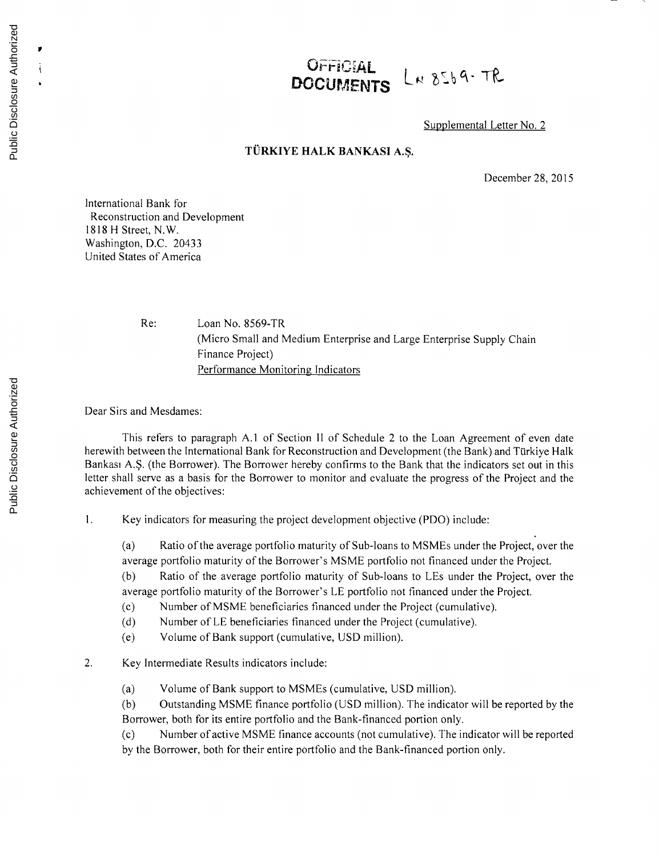## OFFICIAL LN 8569-TR

Supplemental Letter No. 2

## **TURKIYE HALK BANKASI A.\$.**

December **28, 2015**

International Bank for Reconstruction and Development **1818** H Street, N.W. Washington, **D.C.** 20433 United States of America

Re: Loan No. 8569-TR (Micro Small and Medium Enterprise and Large Enterprise Supply Chain Finance Project) Performance Monitoring Indicators

Dear Sirs and Mesdames:

This refers to paragraph **A.1** of Section II of Schedule 2 to the Loan Agreement of even date herewith between the International Bank for Reconstruction and Development (the Bank) and Türkiye Halk Bankasi **A.\$.** (the Borrower). The Borrower hereby confirms to the Bank that the indicators set out in this letter shall serve as a basis for the Borrower to monitor and evaluate the progress of the Project and the achievement of the objectives:

**I.** Key indicators for measuring the project development objective (PDO) include:

(a) Ratio of the average portfolio maturity of Sub-loans to MSMEs under the Project, over the average portfolio maturity of the Borrower's **MSME** portfolio not financed under the Project.

**(b)** Ratio of the average portfolio maturity of Sub-loans to LEs under the Project, over the average portfolio maturity of the Borrower's **LE** portfolio not financed under the Project.

**(c)** Number of **MSME** beneficiaries financed under the Project (cumulative).

**(d)** Number of **LE** beneficiaries financed under the Project (cumulative).

(e) Volume of Bank support (cumulative, **USD** million).

2. Key Intermediate Results indicators include:

(a) Volume of Bank support to MSMEs (cumulative, **USD** million).

**(b)** Outstanding **MSME** finance portfolio **(USD** million). The indicator will be reported **by** the Borrower, both for its entire portfolio and the Bank-financed portion only.

**(c)** Number of active **MSME** finance accounts (not cumulative). The indicator will be reported **by** the Borrower, both for their entire portfolio and the Bank-financed portion only.

 $\pmb{v}$  $\mathfrak{i}$